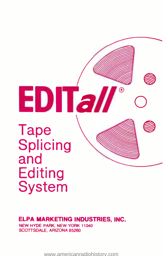

## ELPA MARKETING INDUSTRIES, INC. NEW HYDE PARK, NEW YORK 11040 SCOTTSDALE. ARIZONA 85260

<www.americanradiohistory.com>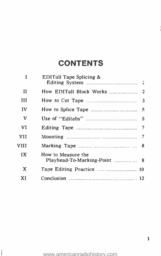# **CONTENTS**

| Ī    | <b>EDITall Tape Splicing &amp;</b> |
|------|------------------------------------|
| н    |                                    |
| ш    |                                    |
| IV   |                                    |
| v    |                                    |
| VI   |                                    |
| VH   |                                    |
| VIII |                                    |
| IX   | How to Measure the                 |
| X    |                                    |
| XI   |                                    |

 $\mathbf{i}$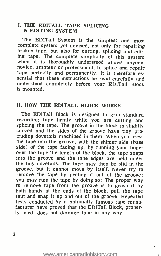# I. THE EDITALL TAPE SPLICING & EDITING SYSTEM

The EDITall System is the simplest and most complete system yet devised, not only for repairing broken tape, but also for cutting, splicing and edit-<br>ing tape. The complete simplicity of this system when it is thoroughly understood allows anyone,<br>novice, amateur or professional, to splice and repair<br>tape perfectly and permanently. It is therefore es-<br>sential that these instructions be read carefully and understood completely before your EDITaII Block is mounted.

# II. HOW THE EDITALL BLOCK WORKS

The EDITaII Block is designed to grip standard recording tape firmly while you are cutting and splicing the tape. The groove in the block is slightly curved and the sides of the groove have tiny pro-<br>truding dovetails machined in them. When you press<br>the tape into the groove, with the shinier side (base<br>side) of the tape facing up, by running your finger over the tape the length of the block, the tape snaps into the groove and the tape edges are held under the tiny dovetails. The tape may then be slid in the groove, but it cannot move by itself. Never try to remove the tape by peeling it out of the groove; you may ruin the tape by doing so! The proper way to remove tape from the groove is to grasp it by both hands at the ends of the block, pull the tape taut and snap it up and out of the groove. Repeated facturer have proved that the EDITall Block, properly used, does not damage tape in any way.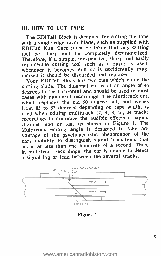# III. HOW TO CUT TAPE

The EDITaII Block is designed for cutting the tape with a single-edge razor blade, such as supplied with EDITaII Kits. Care must be taken that any cutting tool be sharp and be completely demagnetized. Therefore, if a simple, inexpensive, sharp and easily replaceable cutting tool such as a razor is used, whenever it becomes dull or is accidentally magnetized it should be discarded and replaced.

Your EDITaII Block has two cuts which guide the cutting blade. The diagonal cut is at an angle of <sup>45</sup> degrees to the horizontal and should be used in most cases with monaural recordings. The Multitrack cut, which replaces the old 90 degree cut, and varies from 83 to 87 degrees depending on tape width, is used when editing multitrack (2, 4, 8, 16, 24 track) recordings to minimize the audible effects of signal channel lead or lag, as shown in Figure 1. The Multitrack editing angle is designed to take vantage of the psychoacoustic phenomenon of the ears inability to distinguish signal transitions that occur at less than one hundreth of a second. Thus, in multitrack recordings, the ear is unable to detect a signal lag or lead between the several tracks.



Figure <sup>1</sup>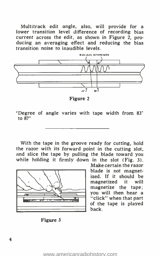Multitrack edit angle, also, will provide for a lower transition level difference of recording bias current across the edit, as shown in Figure 2, producing an averaging effect and reducing the bias transition noise to inaudible levels.



Figure <sup>2</sup>

'Degree of angle varies with tape width from 83° to 87'

With the tape in the groove ready for cutting, hold the razor with its forward point in the cutting slot, and slice the tape by pulling the blade toward you while holding it firmly down in the slot (Fig. 3).



Make certain the razor blade is not magnetized. If it should be magnetized it will magnetize the tape; you will then hear a<br>"click" when that part of the tape is played back.

Figure <sup>3</sup>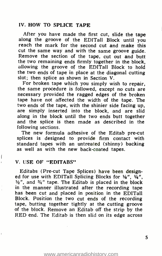## IV. HOW TO SPLICE TAPE

After you have made the first cut, slide the tape along the groove of the ED1Tall Block until you reach the mark for the second cut and make this cut the same way and with the same groove guide. Remove the section of the tape, cut out and butt the two remaining ends firmly together in the block, allowing the groove of the EDITa1I Block to hold the two ends of tape in place at the diagonal cutting slot; then splice as shown in Section V.

For broken tape which you simply wish to repair, the same procedure is followed, except no cuts are necessary provided the ragged edges of the broken tape have not affected the width of the tape. The two ends of the tape, with the shinier side facing up, are simply inserted into the block, and are slid along in the block until the two ends butt together and the splice is then made as described in the following sections.

The new formula adhesive of the Editab pre-cut splices is designed to provide firm contact with standard tapes with an untreated (shinny) backing<br>as well as with the new back-coated tapes.

#### V. USE OF "EDITABS"

ľ

Editabs (Pre-cut Tape Splices) have been designed for use with EDITall Splicing Blocks for  $\frac{1}{2}$ ",  $\frac{1}{4}$ ",  $1/2$ ", and  $3/4$ " tape. The Editab is placed in the block in the manner illustrated after the recording tape has been cut and placed in position in the EDITaII Block. Position the two cut ends of the recording tape, butting together tightly at the cutting groove of the block. Remove an Editab off the strip by the RED end. The Editab is then slid on its edge across

<www.americanradiohistory.com>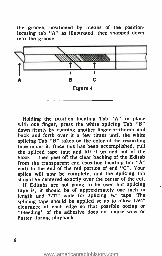the groove, positioned by means of the positionlocating tab "A" as illustrated, then snapped down into the groove.



Holding the position locating Tab "A" in place with one finger, press the white splicing Tab "B" down firmly by running another finger -or -thumb nail back and forth over it a few times until the white splicing Tab "B" takes on the color of the recording tape under it. Once this has been accomplished, pull the spliced tape taut and lift it up and out of the  $block -$  then peel off the clear backing of the Editab from the transparent end (position locating tab "A" end) to the end of the red portion of end "C". Your splice will now be complete, and the splicing tab should be centered exactly over the center of the cut.

If Editabs are not going to be used but splicing tape is, it should be of approximately one inch in length and  $7/32$ " wide for splicing  $\frac{1}{4}$ " tape. The splicing tape should be applied so as to allow 1/64" clearance at each edge so that possible oozing or "bleeding" of the adhesive does not cause wow or flutter during playback.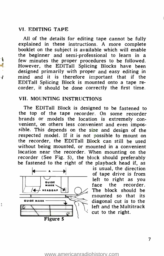## VI. EDITING TAPE

=1

All of the details for editing tape cannot be fully explained in these instructions. A more complete booklet on the subject is available which will enable<br>the beginner and semi-professional to learn in a few minutes the proper procedures to be followed. However, the EDITaII Splicing Blocks have been designed primarily with proper and easy editing in mind and it is therefore important that if the EDITaII Splicing Block is mounted onto a tape re- corder, it should be done correctly the first time.

## VII. MOUNTING INSTRUCTIONS

The EDITa11 Block is designed to be fastened to the top of the tape recorder. On some recorder brands or models the location is extremely con- venient, on others less convenient and even impossible. This depends on the size and design of the respected model. If it is not possible to mount on the recorder, the EDITaII Block can still be used without being mounted, or mounted in a convenient location near the recorder. When mounting on the recorder (See Fig. 5), the block should preferably be fastened to the right of the playback head if, as



is usual, the direction of tape drive is from<br>left to right as you<br>face the recorder. recorder. The block should be mounted so that its diagonal cut is to the left and the Multitrack cut to the right.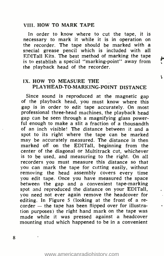## VIII. HOW TO MARK TAPE

In order to know where to cut the tape, it is necessary to mark it while it is in operation on the recorder. The tape should be marked with a special grease pencil which is included with all EDITaII Kits. The best method of marking the tape is to establish a special "marking-point" away from the playback head of the recorder.

# IX. HOW TO MEASURE THE PLAYHEAD-TO-MARKING-POINT DISTANCE

Š

Since sound is reproduced at the magnetic gap of the playback head, you must know where this gap is in order to edit tape accurately. On most professional three -head machines, the playback head gap can be seen through a magnifying glass powerful enough to make a slit a fraction of a thousandth<br>of an inch visible! The distance between it and a spot to its right where the tape can be marked may be accurately measured. The distance is then marked off on the EDITaII, beginning from the center of the diagonal or Multitrack cut, whichever is to be used, and measuring to the right. On all recorders you must measure this distance so that you can mark the tape for cutting easily, without removing the head assembly covers every time you edit tape. Once you have measured the space between the gap and a convenient tape-marking spot and reproduced the distance on your EDITaII, you need not ever again remove the headcover for editing. In Figure 5 (looking at the front of a recorder  $-$  the tape has been flipped over for illustration purposes) the right hand mark on the tape was made while it was pressed against a headcover mounting stud which happened to be in a convenient

<www.americanradiohistory.com>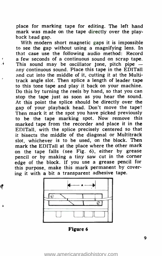place for marking tape for editing. The left hand mark was made on the tape directly over the playback head gap.

With modern short magnetic gaps it is impossible to see the gap without using a magnifying lens. In that case use the following audio method: Record a few seconds of a continuous sound on scrap tape. This sound may be oscillator tone, pitch pipe  $$ any continuous sound. Place this tape in the EDITall and cut into the middle of it, cutting it at the Multitrack angle slot. Then splice a length of leader tape to this tone tape and play it back on your machine.<br>Do this by turning the reels by hand, so that you can stop the tape just as soon as you hear the sound. At this point the splice should be directly over the gap of your playback head. Don't move the tape! Then mark it at the spot you have picked previously to be the tape marking spot. Now remove this marked tape from the recorder and place it in the EDITall, with the splice precisely centered so that it bisects the middle of the diagonal or Multitrack slot, whichever is to be used, on the block. Then mark the EDITall at the place where the other mark on the tape falls (see Fig. 6), either by grease pencil or by making a tiny saw cut in the corner edge of the block. If you use a grease pencil for this purpose, make this mark permanent by cover ing it with a bit a transparent adhesive tape.



Figure 6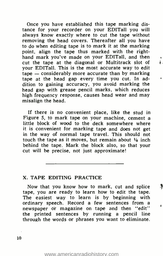Once you have established this tape marking distance for your recorder on your EDITaII you will always know exactly where to cut the tape without removing the head covers. Thereafter all you have to do when editing tape is to mark it at the marking<br>point, align the tape thus marked with the righthand mark you've made on your EDITaII, and then  $\cdot$  cut the tape at the diagonal or Multitrack slot of  $\cdot$ cut the tape at the diagonal or Multitrack slot of your EDITaII. This is the most accurate way to edit  $t$ ape  $-$  considerably more accurate than by marking tape at the head gap every time you cut. In addition to gaining accuracy, you avoid marking the head gap with grease pencil marks, which reduces high frequency response, causes head wear and may misalign the head.

If there is no convenient place, like the stud in Figure 5, to mark tape on your machine, cement a little block of wood to the deck somewhere where it is convenient for marking tape and does not get in the way of normal tape travel. This should not touch the tape as it moves, but remain about  $\frac{1}{4}$  inch behind the tape. Mark the block also, so that your cut will be precise, not just approximate!

# X. TAPE EDITING PRACTICE

Now that you know how to mark, cut and splice  $\mathcal{N}$ tape, you are ready to learn how to edit the tape. The easiest way to learn is by beginning with ordinary speech. Record a few sentences from a newspaper or magazine on tape and then "edit" the printed sentences by running a pencil line through the words or phrases you want to eliminate.

10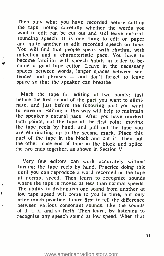$\bullet$   $\bullet$ Then play what you have recorded before cutting the tape, noting carefully whether the words you want to edit can be cut out and still leave naturalsounding speech. It is one thing to edit on paper and quite another to edit recorded speech on tape. You will find that people speak with rhythm, with inflection and a characteristic pace. You have to become familiar with speech habits in order to be-<br>come a good tape editor. Leave in the necessary spaces between words, longer spaces between sen-<br>tences and phrases  $-$  and don't forget to leave space so that the speaker can breathe!

Mark the tape for editing at two points: just before the first sound of the part you want to eliminate, and just before the following part you want to leave in. Editing in this way will help to maintain the speaker's natural pace. After you have marked<br>both points, cut the tape at the first point, moving the tape reels by hand, and pull out the tape you are eliminating up to the second mark. Place this part of the tape in the block and cut it. Then put the other loose end of tape in the block and splice the two ends together, as shown in Section V.

Very few editors can work accurately without turning the tape reels by hand. Practice doing this until you can reproduce a word recorded on the tape at normal speed. Then learn to recognize sounds where the tape is moved at less than normal speeds. The ability to distinguish one sound from another at low tape speed will come to you in time, but only after much practice. Learn first to tell the difference between various consonant sounds, like the sounds of d, t, k, and so forth. Then learn, by listening to recognize any speech sound at low speed. When that

1

11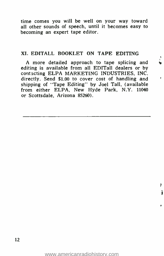time comes you will be well on your way toward all other sounds of speech, until it becomes easy to becoming an expert tape editor.

## XI. EDITALL BOOKLET ON TAPE EDITING

A more detailed approach to tape splicing and editing is available from all EDITaII dealers or by contacting ELPA MARKETING INDUSTRIES, INC. directly. Send \$1.00 to cover cost of handling and shipping of "Tape Editing" by Joel Tall, (available from either ELPA, New Hyde Park, N.Y. 11040 or Scottsdale, Arizona 85260).

Y.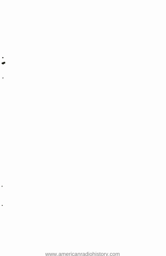<www.americanradiohistory.com>

e i

٠

٠

 $\cdot$ 

.